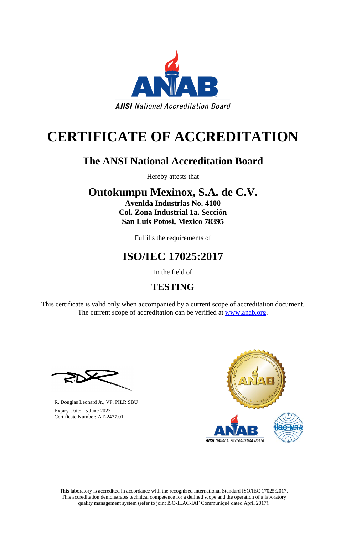This laboratory is accredited in accordance with the recognized International Standard ISO/IEC 17025:2017. This accreditation demonstrates technical competence for a defined scope and the operation of a laboratory quality management system (refer to joint ISO-ILAC-IAF Communiqué dated April 2017).

This certificate is valid only when accompanied by a current scope of accreditation document. The current scope of accreditation can be verified at [www.anab.org.](http://www.anab.org/)







# **CERTIFICATE OF ACCREDITATION**

### **The ANSI National Accreditation Board**

Hereby attests that

# **Outokumpu Mexinox, S.A. de C.V.**

**Avenida Industrias No. 4100 Col. Zona Industrial 1a. Sección San Luis Potosi, Mexico 78395**

Fulfills the requirements of

# **ISO/IEC 17025:2017**

In the field of

### **TESTING**

**\_\_\_\_\_\_\_\_\_\_\_\_\_\_\_\_\_\_\_\_\_\_\_\_\_\_\_\_\_\_** R. Douglas Leonard Jr., VP, PILR SBU

 Expiry Date: 15 June 2023 Certificate Number: AT-2477.01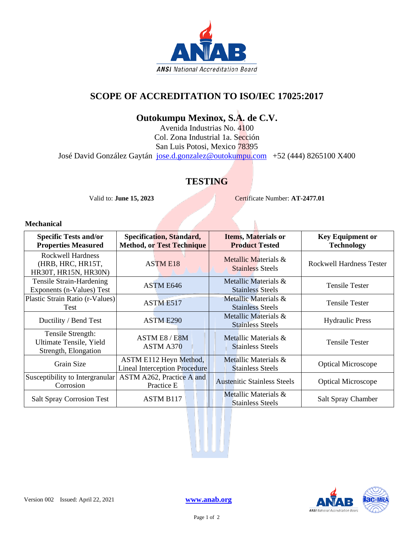

#### **SCOPE OF ACCREDITATION TO ISO/IEC 17025:2017**

### **Outokumpu Mexinox, S.A. de C.V.**

Avenida Industrias No. 4100 Col. Zona Industrial 1a. Sección San Luis Potosi, Mexico 78395 José David González Gaytán [jose.d.gonzalez@outokumpu.com](mailto:jose.d.gonzalez@outokumpu.com) +52 (444) 8265100 X400

### **TESTING**

Valid to: **June 15, 2023** Certificate Number: **AT-2477.01** 

N

#### **Mechanical**

| <b>Specific Tests and/or</b><br><b>Properties Measured</b>            | <b>Specification, Standard,</b><br><b>Method, or Test Technique</b> | <b>Items, Materials or</b><br><b>Product Tested</b> | <b>Key Equipment or</b><br><b>Technology</b> |
|-----------------------------------------------------------------------|---------------------------------------------------------------------|-----------------------------------------------------|----------------------------------------------|
| <b>Rockwell Hardness</b><br>(HRB, HRC, HR15T,<br>HR30T, HR15N, HR30N) | <b>ASTME18</b>                                                      | Metallic Materials &<br><b>Stainless Steels</b>     | <b>Rockwell Hardness Tester</b>              |
| Tensile Strain-Hardening<br>Exponents (n-Values) Test                 | ASTM E646                                                           | Metallic Materials &<br><b>Stainless Steels</b>     | <b>Tensile Tester</b>                        |
| Plastic Strain Ratio (r-Values)<br>Test                               | ASTM E517                                                           | Metallic Materials &<br><b>Stainless Steels</b>     | <b>Tensile Tester</b>                        |
| Ductility / Bend Test                                                 | ASTM E290                                                           | Metallic Materials &<br><b>Stainless Steels</b>     | <b>Hydraulic Press</b>                       |
| Tensile Strength:<br>Ultimate Tensile, Yield<br>Strength, Elongation  | ASTM E8 / E8M<br>ASTM A370                                          | Metallic Materials &<br><b>Stainless Steels</b>     | <b>Tensile Tester</b>                        |
| Grain Size                                                            | ASTM E112 Heyn Method,<br><b>Lineal Interception Procedure</b>      | Metallic Materials &<br><b>Stainless Steels</b>     | <b>Optical Microscope</b>                    |
| Susceptibility to Intergranular<br>Corrosion                          | ASTM A262, Practice A and<br>Practice E                             | <b>Austenitic Stainless Steels</b>                  | <b>Optical Microscope</b>                    |
| <b>Salt Spray Corrosion Test</b>                                      | <b>ASTM B117</b>                                                    | Metallic Materials &<br><b>Stainless Steels</b>     | Salt Spray Chamber                           |